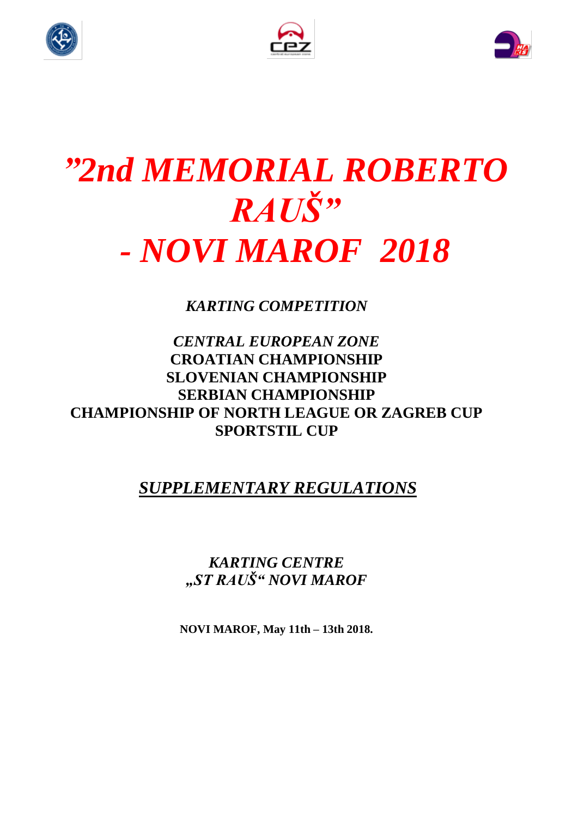





# *"2nd MEMORIAL ROBERTO RAUŠ" - NOVI MAROF 2018*

*KARTING COMPETITION*

## *CENTRAL EUROPEAN ZONE* **CROATIAN CHAMPIONSHIP SLOVENIAN CHAMPIONSHIP SERBIAN CHAMPIONSHIP CHAMPIONSHIP OF NORTH LEAGUE OR ZAGREB CUP SPORTSTIL CUP**

## *SUPPLEMENTARY REGULATIONS*

*KARTING CENTRE "ST RAUŠ" NOVI MAROF*

**NOVI MAROF, May 11th – 13th 2018.**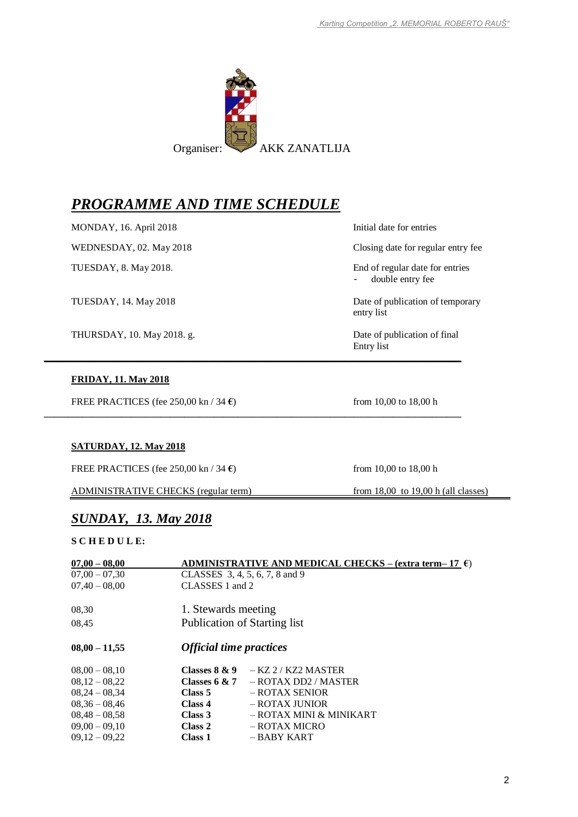

**\_\_\_\_\_\_\_\_\_\_\_\_\_\_\_\_\_\_\_\_\_\_\_\_\_\_\_\_\_\_\_\_\_\_\_\_\_\_\_\_\_\_\_\_\_\_\_\_\_\_\_\_\_\_\_\_\_\_\_\_\_\_\_\_\_\_\_\_\_\_\_\_\_\_\_\_\_\_\_\_\_\_\_\_\_\_**

**\_\_\_\_\_\_\_\_\_\_\_\_\_\_\_\_\_\_\_\_\_\_\_\_\_\_\_\_\_\_\_\_\_\_\_\_\_\_\_\_\_\_\_\_\_\_\_\_\_\_\_\_\_\_\_\_\_\_\_\_\_\_\_\_\_\_\_\_\_\_\_\_\_\_\_\_\_\_\_\_\_\_\_\_\_\_**

## *PROGRAMME AND TIME SCHEDULE*

MONDAY, 16. April 2018 Initial date for entries

THURSDAY, 10. May 2018. g. Date of publication of final

#### **FRIDAY, 11. May 2018**

FREE PRACTICES (fee 250,00 kn / 34 **€**) from 10,00 to 18,00 h

**SATURDAY, 12. May 2018**

FREE PRACTICES (fee 250,00 kn / 34 **€**) from 10,00 to 18,00 h

ADMINISTRATIVE CHECKS (regular term) from 18,00 to 19,00 h (all classes)

*SUNDAY, 13. May 2018*

#### **S C H E D U L E:**

| $07,00 - 08,00$ |                                | ADMINISTRATIVE AND MEDICAL CHECKS – (extra term– 17 $\epsilon$ ) |  |  |
|-----------------|--------------------------------|------------------------------------------------------------------|--|--|
| $07,00 - 07,30$ |                                | CLASSES 3, 4, 5, 6, 7, 8 and 9                                   |  |  |
| $07,40 - 08,00$ | CLASSES 1 and 2                |                                                                  |  |  |
| 08.30           | 1. Stewards meeting            |                                                                  |  |  |
| 08,45           |                                | <b>Publication of Starting list</b>                              |  |  |
| $08,00 - 11,55$ | <b>Official time practices</b> |                                                                  |  |  |
| $08,00 - 08,10$ | Classes $8 & 9$                | $-KZ$ 2 / KZ2 MASTER                                             |  |  |
| $08,12-08,22$   |                                | Classes 6 & 7 $-$ ROTAX DD2 / MASTER                             |  |  |
| $08,24 - 08,34$ | Class 5                        | - ROTAX SENIOR                                                   |  |  |
| $08,36 - 08,46$ | Class 4                        | $-$ ROTAX JUNIOR                                                 |  |  |
| $08,48 - 08,58$ | Class 3                        | $-$ ROTAX MINI & MINIKART                                        |  |  |
| $09,00 - 09,10$ | Class 2                        | – ROTAX MICRO                                                    |  |  |
| $09,12-09,22$   | Class 1                        | – BABY KART                                                      |  |  |

WEDNESDAY, 02. May 2018 Closing date for regular entry fee

TUESDAY, 8. May 2018. End of regular date for entries double entry fee

TUESDAY, 14. May 2018 Date of publication of temporary entry list

Entry list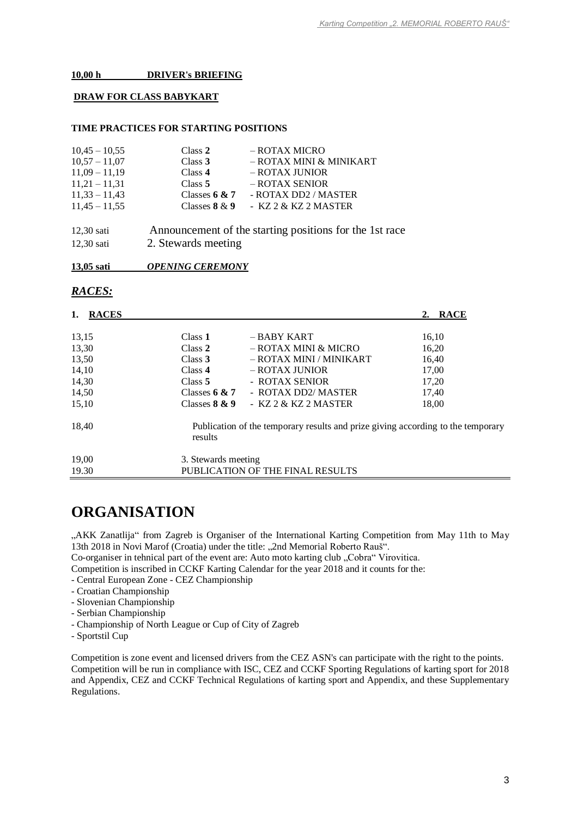#### **10,00 h DRIVER's BRIEFING**

#### **DRAW FOR CLASS BABYKART**

#### **TIME PRACTICES FOR STARTING POSITIONS**

| $10,45 - 10,55$ | Class 2             | - ROTAX MICRO                                           |
|-----------------|---------------------|---------------------------------------------------------|
| $10,57 - 11,07$ | Class $3$           | - ROTAX MINI & MINIKART                                 |
| $11,09 - 11,19$ | Class 4             | - ROTAX JUNIOR                                          |
| $11,21 - 11,31$ | Class $5$           | - ROTAX SENIOR                                          |
| $11,33 - 11,43$ | Classes $6 & 7$     | - ROTAX DD2 / MASTER                                    |
| $11,45 - 11,55$ | Classes $8 & 9$     | - KZ 2 & KZ 2 MASTER                                    |
| $12,30$ sati    |                     | Announcement of the starting positions for the 1st race |
| $12,30$ sati    | 2. Stewards meeting |                                                         |

**13,05 sati** *OPENING CEREMONY*

### *RACES:*

| 1.<br><b>RACES</b> |                     |                                                                                  | 2. RACE |
|--------------------|---------------------|----------------------------------------------------------------------------------|---------|
| 13,15              | Class 1             | $-$ BABY KART                                                                    | 16,10   |
| 13,30              | Class 2             | – ROTAX MINI & MICRO                                                             | 16,20   |
| 13,50              | Class 3             | – ROTAX MINI / MINIKART                                                          | 16,40   |
| 14,10              | Class 4             | – ROTAX JUNIOR                                                                   | 17,00   |
| 14,30              | Class 5             | - ROTAX SENIOR                                                                   | 17,20   |
| 14,50              | Classes $6 & 7$     | - ROTAX DD2/ MASTER                                                              | 17,40   |
| 15,10              | Classes $8 & 9$     | - $KZ 2 & KZ 2$ MASTER                                                           | 18,00   |
| 18,40              | results             | Publication of the temporary results and prize giving according to the temporary |         |
| 19,00              | 3. Stewards meeting |                                                                                  |         |
| 19.30              |                     | PUBLICATION OF THE FINAL RESULTS                                                 |         |

## **ORGANISATION**

"AKK Zanatlija" from Zagreb is Organiser of the International Karting Competition from May 11th to May 13th 2018 in Novi Marof (Croatia) under the title: "2nd Memorial Roberto Rauš".

Co-organiser in tehnical part of the event are: Auto moto karting club "Cobra" Virovitica.

Competition is inscribed in CCKF Karting Calendar for the year 2018 and it counts for the:

- Central European Zone CEZ Championship
- Croatian Championship
- Slovenian Championship
- Serbian Championship
- Championship of North League or Cup of City of Zagreb
- Sportstil Cup

Competition is zone event and licensed drivers from the CEZ ASN's can participate with the right to the points. Competition will be run in compliance with ISC, CEZ and CCKF Sporting Regulations of karting sport for 2018 and Appendix, CEZ and CCKF Technical Regulations of karting sport and Appendix, and these Supplementary Regulations.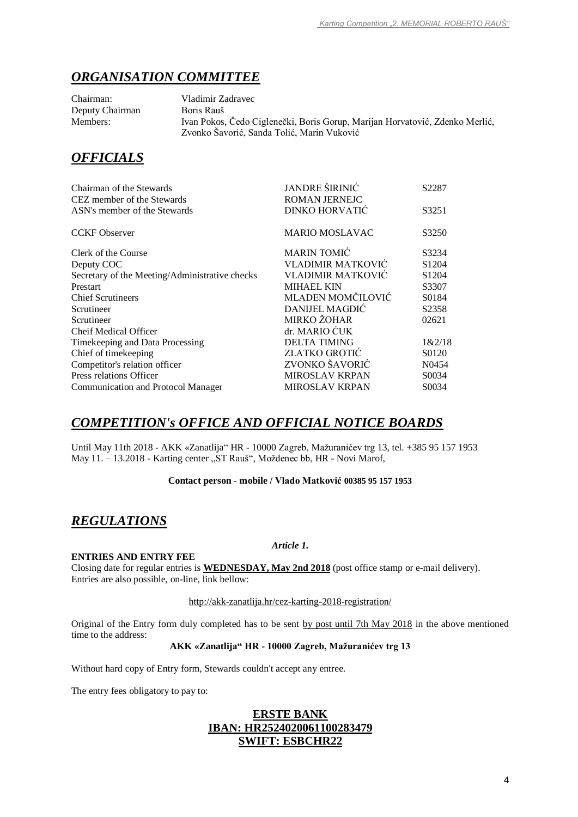## *ORGANISATION COMMITTEE*

Chairman: Vladimir Zadravec Deputy Chairman Boris Rauš

Members: Ivan Pokos, Čedo Ciglenečki, Boris Gorup, Marijan Horvatović, Zdenko Merlić, Zvonko Šavorić, Sanda Tolić, Marin Vuković

## *OFFICIALS*

| Chairman of the Stewards                       | JANDRE ŠIRINIĆ           | S2287             |
|------------------------------------------------|--------------------------|-------------------|
| CEZ member of the Stewards                     | <b>ROMAN JERNEJC</b>     |                   |
| ASN's member of the Stewards                   | DINKO HORVATIĆ           | S3251             |
| <b>CCKF</b> Observer                           | <b>MARIO MOSLAVAC</b>    | S3250             |
| Clerk of the Course                            | <b>MARIN TOMIĆ</b>       | S3234             |
| Deputy COC                                     | <b>VLADIMIR MATKOVIĆ</b> | S <sub>1204</sub> |
| Secretary of the Meeting/Administrative checks | <b>VLADIMIR MATKOVIĆ</b> | S <sub>1204</sub> |
| Prestart                                       | <b>MIHAEL KIN</b>        | S3307             |
| <b>Chief Scrutineers</b>                       | MLADEN MOMČILOVIĆ        | S0184             |
| Scrutineer                                     | DANIJEL MAGDIĆ           | S2358             |
| Scrutineer                                     | MIRKO ŽOHAR              | 02621             |
| <b>Cheif Medical Officer</b>                   | dr. MARIO ĆUK            |                   |
| Timekeeping and Data Processing                | <b>DELTA TIMING</b>      | 1&2/18            |
| Chief of timekeeping                           | <b>ZLATKO GROTIĆ</b>     | S0120             |
| Competitor's relation officer                  | ZVONKO ŠAVORIĆ           | N <sub>0454</sub> |
| Press relations Officer                        | <b>MIROSLAV KRPAN</b>    | S0034             |
| Communication and Protocol Manager             | <b>MIROSLAV KRPAN</b>    | S0034             |

## *COMPETITION's OFFICE AND OFFICIAL NOTICE BOARDS*

Until May 11th 2018 - AKK «Zanatlija" HR - 10000 Zagreb, Mažuranićev trg 13, tel. +385 95 157 1953 May 11. - 13.2018 - Karting center "ST Rauš", Moždenec bb, HR - Novi Marof,

#### **Contact person** - **mobile / Vlado Matković 00385 95 157 1953**

## *REGULATIONS*

#### **ENTRIES AND ENTRY FEE**

Closing date for regular entries is **WEDNESDAY, May 2nd 2018** (post office stamp or e-mail delivery). Entries are also possible, on-line, link bellow:

#### <http://akk-zanatlija.hr/cez-karting-2018-registration/>

*Article 1.*

Original of the Entry form duly completed has to be sent by post until 7th May 2018 in the above mentioned time to the address:

#### **AKK «Zanatlija" HR - 10000 Zagreb, Mažuranićev trg 13**

Without hard copy of Entry form, Stewards couldn't accept any entree.

The entry fees obligatory to pay to:

### **ERSTE BANK IBAN: HR2524020061100283479 SWIFT: ESBCHR22**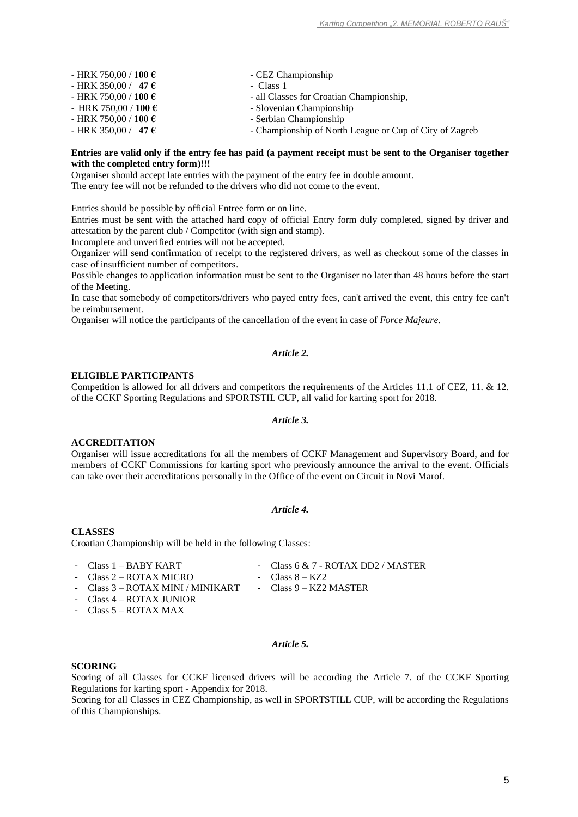| - HRK 750,00 / 100 €          | - CEZ Championship                                      |
|-------------------------------|---------------------------------------------------------|
| - HRK 350,00 / 47 $\epsilon$  | - Class 1                                               |
| - HRK 750,00 / 100 €          | - all Classes for Croatian Championship,                |
| - HRK 750,00 / 100 $\epsilon$ | - Slovenian Championship                                |
| - HRK 750,00 / 100 €          | - Serbian Championship                                  |
| - HRK 350,00 / 47 $\epsilon$  | - Championship of North League or Cup of City of Zagreb |

#### **Entries are valid only if the entry fee has paid (a payment receipt must be sent to the Organiser together with the completed entry form)!!!**

Organiser should accept late entries with the payment of the entry fee in double amount. The entry fee will not be refunded to the drivers who did not come to the event.

Entries should be possible by official Entree form or on line.

Entries must be sent with the attached hard copy of official Entry form duly completed, signed by driver and attestation by the parent club / Competitor (with sign and stamp).

Incomplete and unverified entries will not be accepted.

Organizer will send confirmation of receipt to the registered drivers, as well as checkout some of the classes in case of insufficient number of competitors.

Possible changes to application information must be sent to the Organiser no later than 48 hours before the start of the Meeting.

In case that somebody of competitors/drivers who payed entry fees, can't arrived the event, this entry fee can't be reimbursement.

Organiser will notice the participants of the cancellation of the event in case of *Force Majeure*.

#### *Article 2.*

#### **ELIGIBLE PARTICIPANTS**

Competition is allowed for all drivers and competitors the requirements of the Articles 11.1 of CEZ, 11. & 12. of the CCKF Sporting Regulations and SPORTSTIL CUP, all valid for karting sport for 2018.

#### *Article 3.*

#### **ACCREDITATION**

Organiser will issue accreditations for all the members of CCKF Management and Supervisory Board, and for members of CCKF Commissions for karting sport who previously announce the arrival to the event. Officials can take over their accreditations personally in the Office of the event on Circuit in Novi Marof.

#### *Article 4.*

#### **CLASSES**

Croatian Championship will be held in the following Classes:

- Class 1 BABY KART - Class 2 – ROTAX MICRO
- Class 6 & 7 ROTAX DD2 / MASTER - Class  $8 - KZ2$
- Class 3 ROTAX MINI / MINIKART Class 9 KZ2 MASTER
- Class 4 ROTAX JUNIOR
- Class 5 ROTAX MAX
- 
- 

#### *Article 5.*

#### **SCORING**

Scoring of all Classes for CCKF licensed drivers will be according the Article 7. of the CCKF Sporting Regulations for karting sport - Appendix for 2018.

Scoring for all Classes in CEZ Championship, as well in SPORTSTILL CUP, will be according the Regulations of this Championships.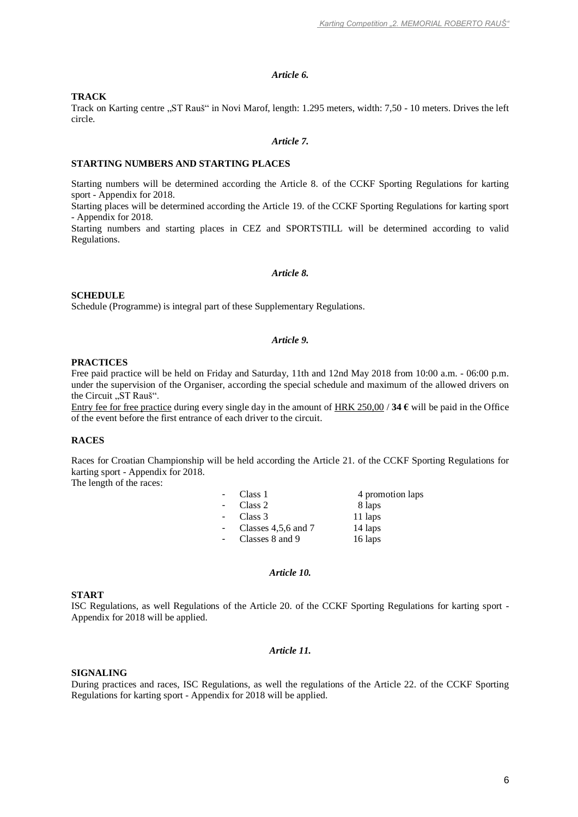#### *Article 6.*

#### **TRACK**

Track on Karting centre "ST Rauš" in Novi Marof, length: 1.295 meters, width: 7,50 - 10 meters. Drives the left circle.

#### *Article 7.*

#### **STARTING NUMBERS AND STARTING PLACES**

Starting numbers will be determined according the Article 8. of the CCKF Sporting Regulations for karting sport - Appendix for 2018.

Starting places will be determined according the Article 19. of the CCKF Sporting Regulations for karting sport - Appendix for 2018.

Starting numbers and starting places in CEZ and SPORTSTILL will be determined according to valid Regulations.

#### *Article 8.*

#### **SCHEDULE**

Schedule (Programme) is integral part of these Supplementary Regulations.

#### *Article 9.*

#### **PRACTICES**

Free paid practice will be held on Friday and Saturday, 11th and 12nd May 2018 from 10:00 a.m. - 06:00 p.m. under the supervision of the Organiser, according the special schedule and maximum of the allowed drivers on the Circuit "ST Rauš".

Entry fee for free practice during every single day in the amount of  $HRK 250,00/34 \epsilon$  will be paid in the Office of the event before the first entrance of each driver to the circuit.

#### **RACES**

Races for Croatian Championship will be held according the Article 21. of the CCKF Sporting Regulations for karting sport - Appendix for 2018.

The length of the races:

| $\sim$ 10 $\pm$ | Class 1                 | 4 promotion laps |
|-----------------|-------------------------|------------------|
| $\sim$          | Class 2                 | 8 laps           |
| $\sim$          | Class 3                 | 11 laps          |
| $\sim$ 10 $\,$  | Classes $4,5,6$ and $7$ | 14 laps          |
| $\sim$          | Classes 8 and 9         | 16 laps          |

#### *Article 10.*

#### **START**

ISC Regulations, as well Regulations of the Article 20. of the CCKF Sporting Regulations for karting sport - Appendix for 2018 will be applied.

#### *Article 11.*

#### **SIGNALING**

During practices and races, ISC Regulations, as well the regulations of the Article 22. of the CCKF Sporting Regulations for karting sport - Appendix for 2018 will be applied.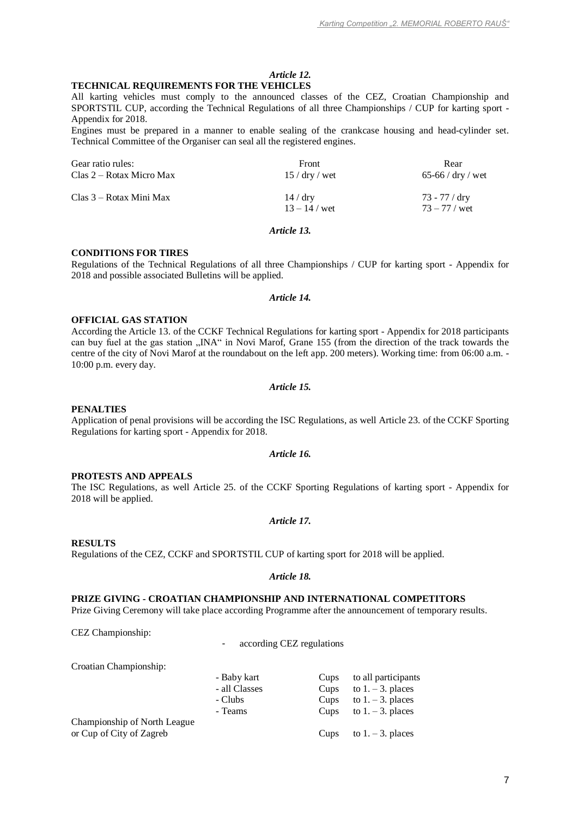#### *Article 12.* **TECHNICAL REQUIREMENTS FOR THE VEHICLES**

All karting vehicles must comply to the announced classes of the CEZ, Croatian Championship and SPORTSTIL CUP, according the Technical Regulations of all three Championships / CUP for karting sport - Appendix for 2018.

Engines must be prepared in a manner to enable sealing of the crankcase housing and head-cylinder set. Technical Committee of the Organiser can seal all the registered engines.

| Gear ratio rules:        | <b>Front</b>              | Rear                             |
|--------------------------|---------------------------|----------------------------------|
| Clas 2 – Rotax Micro Max | $15 /$ dry / wet          | 65-66 / $\frac{dy}{dx}$ / wet    |
| Clas 3 – Rotax Mini Max  | 14/dry<br>$13 - 14$ / wet | 73 - 77 / dry<br>$73 - 77 /$ wet |

#### *Article 13.*

#### **CONDITIONS FOR TIRES**

Regulations of the Technical Regulations of all three Championships / CUP for karting sport - Appendix for 2018 and possible associated Bulletins will be applied.

#### *Article 14.*

#### **OFFICIAL GAS STATION**

According the Article 13. of the CCKF Technical Regulations for karting sport - Appendix for 2018 participants can buy fuel at the gas station "INA" in Novi Marof, Grane 155 (from the direction of the track towards the centre of the city of Novi Marof at the roundabout on the left app. 200 meters). Working time: from 06:00 a.m. - 10:00 p.m. every day.

#### *Article 15.*

#### **PENALTIES**

Application of penal provisions will be according the ISC Regulations, as well Article 23. of the CCKF Sporting Regulations for karting sport - Appendix for 2018.

#### *Article 16.*

#### **PROTESTS AND APPEALS**

The ISC Regulations, as well Article 25. of the CCKF Sporting Regulations of karting sport - Appendix for 2018 will be applied.

#### *Article 17.*

#### **RESULTS**

Regulations of the CEZ, CCKF and SPORTSTIL CUP of karting sport for 2018 will be applied.

#### *Article 18.*

#### **PRIZE GIVING - CROATIAN CHAMPIONSHIP AND INTERNATIONAL COMPETITORS**

Prize Giving Ceremony will take place according Programme after the announcement of temporary results.

CEZ Championship:

- according CEZ regulations

|  | Croatian Championship: |
|--|------------------------|
|--|------------------------|

| - Baby kart   | Cups | to all participants       |
|---------------|------|---------------------------|
| - all Classes | Cups | to $1. - 3$ . places      |
| - Clubs       | Cups | to $1. - 3$ . places      |
| - Teams       | Cups | to $1. - 3$ . places      |
|               |      |                           |
|               |      | Cups to $1. - 3$ . places |
|               |      |                           |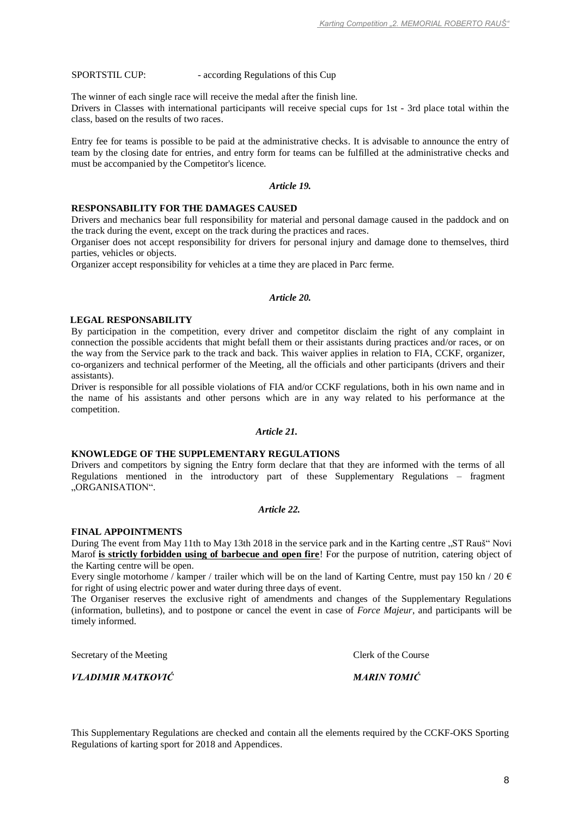#### SPORTSTIL CUP: - according Regulations of this Cup

The winner of each single race will receive the medal after the finish line.

Drivers in Classes with international participants will receive special cups for 1st - 3rd place total within the class, based on the results of two races.

Entry fee for teams is possible to be paid at the administrative checks. It is advisable to announce the entry of team by the closing date for entries, and entry form for teams can be fulfilled at the administrative checks and must be accompanied by the Competitor's licence.

#### *Article 19.*

#### **RESPONSABILITY FOR THE DAMAGES CAUSED**

Drivers and mechanics bear full responsibility for material and personal damage caused in the paddock and on the track during the event, except on the track during the practices and races.

Organiser does not accept responsibility for drivers for personal injury and damage done to themselves, third parties, vehicles or objects.

Organizer accept responsibility for vehicles at a time they are placed in Parc ferme.

#### *Article 20.*

#### **LEGAL RESPONSABILITY**

By participation in the competition, every driver and competitor disclaim the right of any complaint in connection the possible accidents that might befall them or their assistants during practices and/or races, or on the way from the Service park to the track and back. This waiver applies in relation to FIA, CCKF, organizer, co-organizers and technical performer of the Meeting, all the officials and other participants (drivers and their assistants).

Driver is responsible for all possible violations of FIA and/or CCKF regulations, both in his own name and in the name of his assistants and other persons which are in any way related to his performance at the competition.

#### *Article 21.*

#### **KNOWLEDGE OF THE SUPPLEMENTARY REGULATIONS**

Drivers and competitors by signing the Entry form declare that that they are informed with the terms of all Regulations mentioned in the introductory part of these Supplementary Regulations – fragment "ORGANISATION".

#### *Article 22.*

#### **FINAL APPOINTMENTS**

During The event from May 11th to May 13th 2018 in the service park and in the Karting centre "ST Rauš" Novi Marof **is strictly forbidden using of barbecue and open fire**! For the purpose of nutrition, catering object of the Karting centre will be open.

Every single motorhome / kamper / trailer which will be on the land of Karting Centre, must pay 150 kn / 20  $\epsilon$ for right of using electric power and water during three days of event.

The Organiser reserves the exclusive right of amendments and changes of the Supplementary Regulations (information, bulletins), and to postpone or cancel the event in case of *Force Majeur*, and participants will be timely informed.

Secretary of the Meeting Clerk of the Course

*VLADIMIR MATKOVIĆ MARIN TOMIĆ*

This Supplementary Regulations are checked and contain all the elements required by the CCKF-OKS Sporting Regulations of karting sport for 2018 and Appendices.